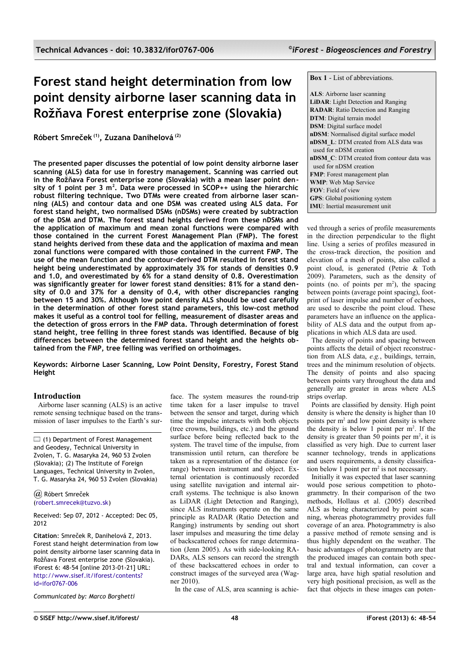# **Forest stand height determination from low point density airborne laser scanning data in Rožňava Forest enterprise zone (Slovakia)**

**Róbert Smreček (1), Zuzana Danihelová (2)**

**The presented paper discusses the potential of low point density airborne laser scanning (ALS) data for use in forestry management. Scanning was carried out in the Rožňava Forest enterprise zone (Slovakia) with a mean laser point density of 1 point per 3 m<sup>2</sup> . Data were processed in SCOP++ using the hierarchic robust filtering technique. Two DTMs were created from airborne laser scanning (ALS) and contour data and one DSM was created using ALS data. For forest stand height, two normalised DSMs (nDSMs) were created by subtraction of the DSM and DTM. The forest stand heights derived from these nDSMs and the application of maximum and mean zonal functions were compared with those contained in the current Forest Management Plan (FMP). The forest stand heights derived from these data and the application of maxima and mean zonal functions were compared with those contained in the current FMP. The use of the mean function and the contour-derived DTM resulted in forest stand height being underestimated by approximately 3% for stands of densities 0.9 and 1.0, and overestimated by 6% for a stand density of 0.8. Overestimation was significantly greater for lower forest stand densities: 81% for a stand density of 0.0 and 37% for a density of 0.4, with other discrepancies ranging between 15 and 30%. Although low point density ALS should be used carefully in the determination of other forest stand parameters, this low-cost method makes it useful as a control tool for felling, measurement of disaster areas and the detection of gross errors in the FMP data. Through determination of forest stand height, tree felling in three forest stands was identified. Because of big differences between the determined forest stand height and the heights obtained from the FMP, tree felling was verified on orthoimages.**

**Keywords: Airborne Laser Scanning, Low Point Density, Forestry, Forest Stand Height**

# **Introduction**

Airborne laser scanning (ALS) is an active remote sensing technique based on the transmission of laser impulses to the Earth's sur-

 $\Box$  (1) Department of Forest Management and Geodesy, Technical University in Zvolen, T. G. Masaryka 24, 960 53 Zvolen (Slovakia); (2) The Institute of Foreign Languages, Technical University in Zvolen, T. G. Masaryka 24, 960 53 Zvolen (Slovakia)

*@* Róbert Smreček [\(robert.smrecek@tuzvo.sk\)](mailto:)

Received: Sep 07, 2012 - Accepted: Dec 05, 2012

**Citation**: Smreček R, Danihelová Z, 2013. Forest stand height determination from low point density airborne laser scanning data in Rožňava Forest enterprise zone (Slovakia). iForest 6: 48-54 [online 2013-01-21] URL: [http://www.sisef.it/iforest/contents?](http://www.sisef.it/iforest/contents?id=ifor0767-006) [id=ifor0767-006](http://www.sisef.it/iforest/contents?id=ifor0767-006)

*Communicated by: Marco Borghetti*

face. The system measures the round-trip time taken for a laser impulse to travel between the sensor and target, during which time the impulse interacts with both objects (tree crowns, buildings, etc.) and the ground surface before being reflected back to the system. The travel time of the impulse, from transmission until return, can therefore be taken as a representation of the distance (or range) between instrument and object. External orientation is continuously recorded using satellite navigation and internal aircraft systems. The technique is also known as LiDAR (Light Detection and Ranging), since ALS instruments operate on the same principle as RADAR (Ratio Detection and Ranging) instruments by sending out short laser impulses and measuring the time delay of backscattered echoes for range determination (Jenn 2005). As with side-looking RA-DARs. ALS sensors can record the strength of these backscattered echoes in order to construct images of the surveyed area (Wagner 2010).

In the case of ALS, area scanning is achie-

**Box 1** - List of abbreviations.

**ALS**: Airborne laser scanning **LiDAR**: Light Detection and Ranging **RADAR**: Ratio Detection and Ranging **DTM**: Digital terrain model **DSM**: Digital surface model **nDSM**: Normalised digital surface model **nDSM\_L**: DTM created from ALS data was used for nDSM creation **nDSM\_C**: DTM created from contour data was used for nDSM creation **FMP**: Forest management plan **WMP**: Web Map Service **FOV**: Field of view **GPS**: Global positioning system **IMU**: Inertial measurement unit

ved through a series of profile measurements in the direction perpendicular to the flight line. Using a series of profiles measured in the cross-track direction, the position and elevation of a mesh of points, also called a point cloud, is generated (Petrie & Toth 2009). Parameters, such as the density of points (no. of points per  $m<sup>2</sup>$ ), the spacing between points (average point spacing), footprint of laser impulse and number of echoes, are used to describe the point cloud. These parameters have an influence on the applicability of ALS data and the output from applications in which ALS data are used.

The density of points and spacing between points affects the detail of object reconstruction from ALS data, *e.g.*, buildings, terrain, trees and the minimum resolution of objects. The density of points and also spacing between points vary throughout the data and generally are greater in areas where ALS strips overlap.

Points are classified by density. High point density is where the density is higher than 10 points per m<sup>2</sup> and low point density is where the density is below 1 point per  $m<sup>2</sup>$ . If the density is greater than 50 points per  $m^2$ , it is classified as very high. Due to current laser scanner technology, trends in applications and users requirements, a density classification below 1 point per  $m<sup>2</sup>$  is not necessary.

Initially it was expected that laser scanning would pose serious competition to photogrammetry. In their comparison of the two methods, Hollaus et al. (2005) described ALS as being characterized by point scanning, whereas photogrammetry provides full coverage of an area. Photogrammetry is also a passive method of remote sensing and is thus highly dependent on the weather. The basic advantages of photogrammetry are that the produced images can contain both spectral and textual information, can cover a large area, have high spatial resolution and very high positional precision, as well as the fact that objects in these images can poten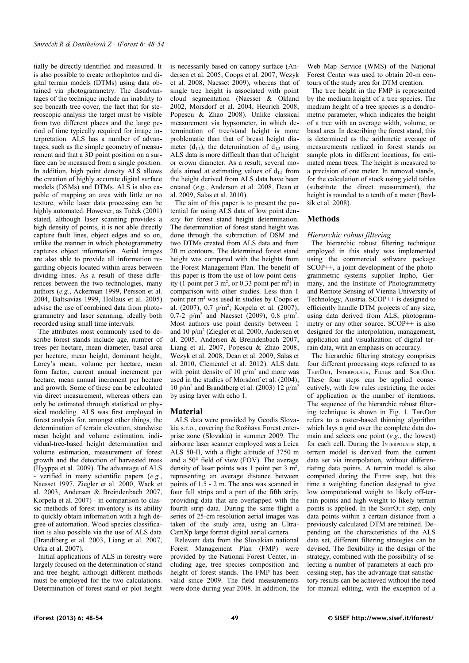tially be directly identified and measured. It is also possible to create orthophotos and digital terrain models (DTMs) using data obtained via photogrammetry. The disadvantages of the technique include an inability to see beneath tree cover, the fact that for stereoscopic analysis the target must be visible from two different places and the large period of time typically required for image interpretation. ALS has a number of advantages, such as the simple geometry of measurement and that a 3D point position on a surface can be measured from a single position. In addition, high point density ALS allows the creation of highly accurate digital surface models (DSMs) and DTMs. ALS is also capable of mapping an area with little or no texture, while laser data processing can be highly automated. However, as Tuček (2001) stated, although laser scanning provides a high density of points, it is not able directly capture fault lines, object edges and so on, unlike the manner in which photogrammetry captures object information. Aerial images are also able to provide all information regarding objects located within areas between dividing lines. As a result of these differences between the two technologies, many authors (*e.g.*, Ackerman 1999, Persson et al. 2004, Baltsavias 1999, Hollaus et al. 2005) advise the use of combined data from photogrammetry and laser scanning, ideally both recorded using small time intervals.

The attributes most commonly used to describe forest stands include age, number of trees per hectare, mean diameter, basal area per hectare, mean height, dominant height, Lorey's mean, volume per hectare, mean form factor, current annual increment per hectare, mean annual increment per hectare and growth. Some of these can be calculated via direct measurement, whereas others can only be estimated through statistical or physical modeling. ALS was first employed in forest analysis for, amongst other things, the determination of terrain elevation, standwise mean height and volume estimation, individual-tree-based height determination and volume estimation, measurement of forest growth and the detection of harvested trees (Hyyppä et al. 2009). The advantage of ALS - verified in many scientific papers (*e.g.*, Naesset 1997, Ziegler et al. 2000, Wack et al. 2003, Andersen & Breindenbach 2007, Korpela et al. 2007) - in comparison to classic methods of forest inventory is its ability to quickly obtain information with a high degree of automation. Wood species classification is also possible via the use of ALS data (Brandtberg et al. 2003, Liang et al. 2007, Orka et al. 2007).

Initial applications of ALS in forestry were largely focused on the determination of stand and tree height, although different methods must be employed for the two calculations. Determination of forest stand or plot height is necessarily based on canopy surface (Andersen et al. 2005, Coops et al. 2007, Wezyk et al. 2008, Naesset  $2009$ ), whereas that of single tree height is associated with point cloud segmentation (Naesset & Okland 2002, Morsdorf et al. 2004, Heurich 2008, Popescu & Zhao 2008). Unlike classical measurement via hypsometer, in which determination of tree/stand height is more problematic than that of breast height diameter ( $d_{1,3}$ ), the determination of  $d_{1,3}$  using ALS data is more difficult than that of height or crown diameter. As a result, several models aimed at estimating values of  $d_{13}$  from the height derived from ALS data have been created (*e.g.*, Anderson et al. 2008, Dean et al. 2009, Salas et al. 2010).

The aim of this paper is to present the potential for using ALS data of low point density for forest stand height determination. The determination of forest stand height was done through the subtraction of DSM and two DTMs created from ALS data and from 20 m contours. The determined forest stand height was compared with the heights from the Forest Management Plan. The benefit of this paper is from the use of low point density (1 point per 3 m<sup>2</sup>, or 0.33 point per m<sup>2</sup>) in comparison with other studies. Less than 1 point per m<sup>2</sup> was used in studies by Coops et al. (2007), 0.7 p/m<sup>2</sup> ; Korpela et al. (2007), 0.7-2  $p/m^2$  and Naesset (2009), 0.8  $p/m^2$ . Most authors use point density between 1 and 10 p/m<sup>2</sup> (Ziegler et al. 2000, Andersen et al. 2005, Andersen & Breindenbach 2007, Liang et al. 2007, Popescu & Zhao 2008, Wezyk et al. 2008, Dean et al. 2009, Salas et al. 2010, Clementel et al. 2012). ALS data with point density of 10  $p/m^2$  and more was used in the studies of Morsdorf et al. (2004), 10 p/m<sup>2</sup> and Brandtberg et al. (2003) 12 p/m<sup>2</sup> by using layer with echo 1.

## **Material**

ALS data were provided by Geodis Slovakia s.r.o., covering the Rožňava Forest enterprise zone (Slovakia) in summer 2009. The airborne laser scanner employed was a Leica ALS 50-II, with a flight altitude of 3750 m and a 50° field of view (FOV). The average density of laser points was 1 point per 3  $m^2$ , representing an average distance between points of 1.5 - 2 m. The area was scanned in four full strips and a part of the fifth strip, providing data that are overlapped with the fourth strip data. During the same flight a series of 25-cm resolution aerial images was taken of the study area, using an Ultra-CamXp large format digital aerial camera.

Relevant data from the Slovakian national Forest Management Plan (FMP) were provided by the National Forest Center, including age, tree species composition and height of forest stands. The FMP has been valid since 2009. The field measurements were done during year 2008. In addition, the Web Map Service (WMS) of the National Forest Center was used to obtain 20-m contours of the study area for DTM creation.

The tree height in the FMP is represented by the medium height of a tree species. The medium height of a tree species is a dendrometric parameter, which indicates the height of a tree with an average width, volume, or basal area. In describing the forest stand, this is determined as the arithmetic average of measurements realized in forest stands on sample plots in different locations, for estimated mean trees. The height is measured to a precision of one meter. In removal stands, for the calculation of stock using yield tables (substitute the direct measurement), the height is rounded to a tenth of a meter (Bavlšík et al. 2008).

# **Methods**

#### *Hierarchic robust filtering*

The hierarchic robust filtering technique employed in this study was implemented using the commercial software package SCOP++, a joint development of the photogrammetric systems supplier Inpho, Germany, and the Institute of Photogrammetry and Remote Sensing of Vienna University of Technology, Austria. SCOP++ is designed to efficiently handle DTM projects of any size, using data derived from ALS, photogrammetry or any other source.  $SCOP_{++}$  is also designed for the interpolation, management, application and visualization of digital terrain data, with an emphasis on accuracy.

The hierarchic filtering strategy comprises four different processing steps referred to as THINOUT, INTERPOLATE, FILTER and SORTOUT. These four steps can be applied consecutively, with few rules restricting the order of application or the number of iterations. The sequence of the hierarchic robust filter-ing technique is shown in [Fig. 1.](#page-2-0) THINOUT refers to a raster-based thinning algorithm which lays a grid over the complete data domain and selects one point (*e.g.*, the lowest) for each cell. During the INTERPOLATE step, a terrain model is derived from the current data set via interpolation, without differentiating data points. A terrain model is also computed during the FILTER step, but this time a weighting function designed to give low computational weight to likely off-terrain points and high weight to likely terrain points is applied. In the SORTOUT step, only data points within a certain distance from a previously calculated DTM are retained. Depending on the characteristics of the ALS data set, different filtering strategies can be devised. The flexibility in the design of the strategy, combined with the possibility of selecting a number of parameters at each processing step, has the advantage that satisfactory results can be achieved without the need for manual editing, with the exception of a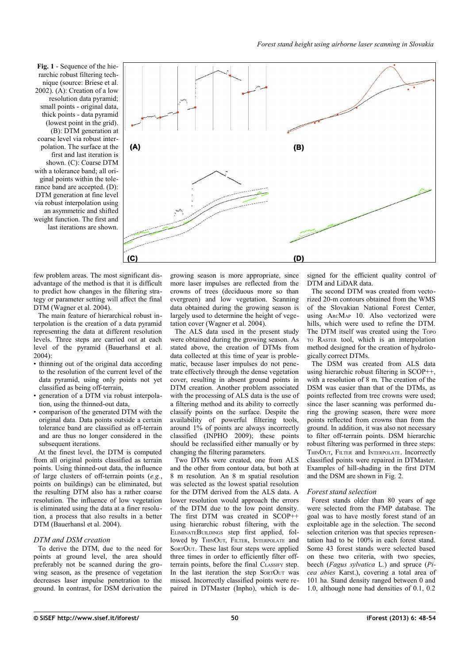<span id="page-2-0"></span>**Fig. 1** - Sequence of the hierarchic robust filtering technique (source: Briese et al. 2002). (A): Creation of a low resolution data pyramid; small points - original data, thick points - data pyramid (lowest point in the grid). (B): DTM generation at coarse level via robust interpolation. The surface at the first and last iteration is shown. (C): Coarse DTM with a tolerance band; all original points within the tolerance band are accepted. (D): DTM generation at fine level via robust interpolation using an asymmetric and shifted weight function. The first and last iterations are shown.



few problem areas. The most significant disadvantage of the method is that it is difficult to predict how changes in the filtering strategy or parameter setting will affect the final DTM (Wagner et al. 2004).

The main feature of hierarchical robust interpolation is the creation of a data pyramid representing the data at different resolution levels. Three steps are carried out at each level of the pyramid (Bauerhansl et al. 2004):

- thinning out of the original data according to the resolution of the current level of the data pyramid, using only points not yet classified as being off-terrain,
- generation of a DTM via robust interpolation, using the thinned-out data,
- comparison of the generated DTM with the original data. Data points outside a certain tolerance band are classified as off-terrain and are thus no longer considered in the subsequent iterations.

At the finest level, the DTM is computed from all original points classified as terrain points. Using thinned-out data, the influence of large clusters of off-terrain points (*e.g.*, points on buildings) can be eliminated, but the resulting DTM also has a rather coarse resolution. The influence of low vegetation is eliminated using the data at a finer resolution, a process that also results in a better DTM (Bauerhansl et al. 2004).

## *DTM and DSM creation*

To derive the DTM, due to the need for points at ground level, the area should preferably not be scanned during the growing season, as the presence of vegetation decreases laser impulse penetration to the ground. In contrast, for DSM derivation the growing season is more appropriate, since more laser impulses are reflected from the crowns of trees (deciduous more so than evergreen) and low vegetation. Scanning data obtained during the growing season is largely used to determine the height of vegetation cover (Wagner et al. 2004).

The ALS data used in the present study were obtained during the growing season. As stated above, the creation of DTMs from data collected at this time of year is problematic, because laser impulses do not penetrate effectively through the dense vegetation cover, resulting in absent ground points in DTM creation. Another problem associated with the processing of ALS data is the use of a filtering method and its ability to correctly classify points on the surface. Despite the availability of powerful filtering tools, around 1% of points are always incorrectly classified (INPHO 2009); these points should be reclassified either manually or by changing the filtering parameters.

Two DTMs were created, one from ALS and the other from contour data, but both at 8 m resolution. An 8 m spatial resolution was selected as the lowest spatial resolution for the DTM derived from the ALS data. A lower resolution would approach the errors of the DTM due to the low point density. The first DTM was created in SCOP++ using hierarchic robust filtering, with the ELIMINATEBUILDINGS step first applied, followed by THINOUT, FILTER, INTERPOLATE and SORTOUT. These last four steps were applied three times in order to efficiently filter offterrain points, before the final CLASSIFY step. In the last iteration the step SORTOUT was missed. Incorrectly classified points were repaired in DTMaster (Inpho), which is designed for the efficient quality control of DTM and LiDAR data.

The second DTM was created from vectorized 20-m contours obtained from the WMS of the Slovakian National Forest Center, using ARCMAP 10. Also vectorized were hills, which were used to refine the DTM. The DTM itself was created using the TOPO TO RASTER tool, which is an interpolation method designed for the creation of hydrologically correct DTMs.

The DSM was created from ALS data using hierarchic robust filtering in SCOP++, with a resolution of 8 m. The creation of the DSM was easier than that of the DTMs, as points reflected from tree crowns were used; since the laser scanning was performed during the growing season, there were more points reflected from crowns than from the ground. In addition, it was also not necessary to filter off-terrain points. DSM hierarchic robust filtering was performed in three steps: THINOUT, FILTER and INTERPOLATE. Incorrectly classified points were repaired in DTMaster. Examples of hill-shading in the first DTM and the DSM are shown in [Fig. 2.](#page-3-0)

#### *Forest stand selection*

Forest stands older than 80 years of age were selected from the FMP database. The goal was to have mostly forest stand of an exploitable age in the selection. The second selection criterion was that species representation had to be 100% in each forest stand. Some 43 forest stands were selected based on these two criteria, with two species, beech (*Fagus sylvatica* L.) and spruce (*Picea abies* Karst.), covering a total area of 101 ha. Stand density ranged between 0 and 1.0, although none had densities of 0.1, 0.2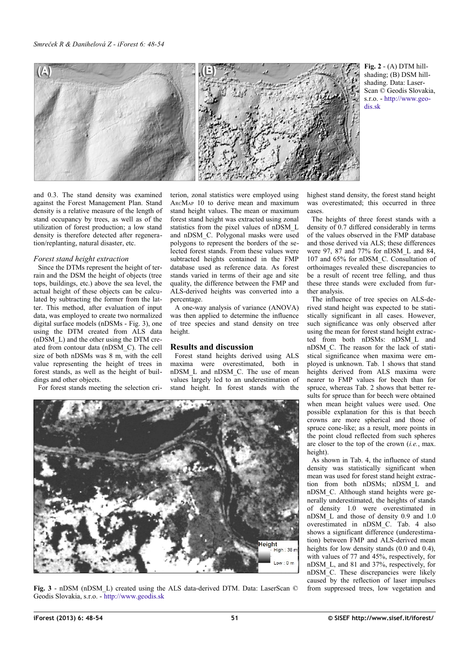

and 0.3. The stand density was examined against the Forest Management Plan. Stand density is a relative measure of the length of stand occupancy by trees, as well as of the utilization of forest production; a low stand density is therefore detected after regeneration/replanting, natural disaster, etc.

#### *Forest stand height extraction*

Since the DTMs represent the height of terrain and the DSM the height of objects (tree tops, buildings, etc.) above the sea level, the actual height of these objects can be calculated by subtracting the former from the latter. This method, after evaluation of input data, was employed to create two normalized digital surface models (nDSMs - [Fig. 3\)](#page-3-1), one using the DTM created from ALS data (nDSM\_L) and the other using the DTM created from contour data (nDSM\_C). The cell size of both nDSMs was 8 m, with the cell value representing the height of trees in forest stands, as well as the height of buildings and other objects.

For forest stands meeting the selection cri-

terion, zonal statistics were employed using ARCMAP 10 to derive mean and maximum stand height values. The mean or maximum forest stand height was extracted using zonal statistics from the pixel values of nDSM\_L and nDSM C. Polygonal masks were used polygons to represent the borders of the selected forest stands. From these values were subtracted heights contained in the FMP database used as reference data. As forest stands varied in terms of their age and site quality, the difference between the FMP and ALS-derived heights was converted into a percentage.

A one-way analysis of variance (ANOVA) was then applied to determine the influence of tree species and stand density on tree height.

#### **Results and discussion**

Forest stand heights derived using ALS maxima were overestimated, both in nDSM\_L and nDSM\_C. The use of mean values largely led to an underestimation of stand height. In forest stands with the

<span id="page-3-1"></span>

Fig. 3 - nDSM (nDSM L) created using the ALS data-derived DTM. Data: LaserScan © Geodis Slovakia, s.r.o. - [http://www.geodis.sk](http://www.geodis.sk/)

<span id="page-3-0"></span>**Fig. 2** - (A) DTM hillshading; (B) DSM hillshading. Data: Laser-Scan © Geodis Slovakia, s.r.o. - [http://www.geo-](http://www.geodis.sk/)

highest stand density, the forest stand height was overestimated; this occurred in three cases.

The heights of three forest stands with a density of 0.7 differed considerably in terms of the values observed in the FMP database and those derived via ALS; these differences were 97, 87 and 77% for nDSM\_L and 84, 107 and 65% for nDSM\_C. Consultation of orthoimages revealed these discrepancies to be a result of recent tree felling, and thus these three stands were excluded from further analysis.

The influence of tree species on ALS-derived stand height was expected to be statistically significant in all cases. However, such significance was only observed after using the mean for forest stand height extracted from both nDSMs: nDSM\_L and nDSM\_C. The reason for the lack of statistical significance when maxima were employed is unknown. [Tab. 1](#page-4-2) shows that stand heights derived from ALS maxima were nearer to FMP values for beech than for spruce, whereas [Tab. 2](#page-4-1) shows that better results for spruce than for beech were obtained when mean height values were used. One possible explanation for this is that beech crowns are more spherical and those of spruce cone-like; as a result, more points in the point cloud reflected from such spheres are closer to the top of the crown (*i.e.*, max. height).

As shown in [Tab. 4,](#page-4-0) the influence of stand density was statistically significant when mean was used for forest stand height extraction from both nDSMs; nDSM\_L and nDSM\_C. Although stand heights were generally underestimated, the heights of stands of density 1.0 were overestimated in nDSM\_L and those of density 0.9 and 1.0 overestimated in nDSM\_C. [Tab. 4](#page-4-0) also shows a significant difference (underestimation) between FMP and ALS-derived mean heights for low density stands (0.0 and 0.4). with values of 77 and 45%, respectively, for nDSM\_L, and 81 and 37%, respectively, for nDSM\_C. These discrepancies were likely caused by the reflection of laser impulses from suppressed trees, low vegetation and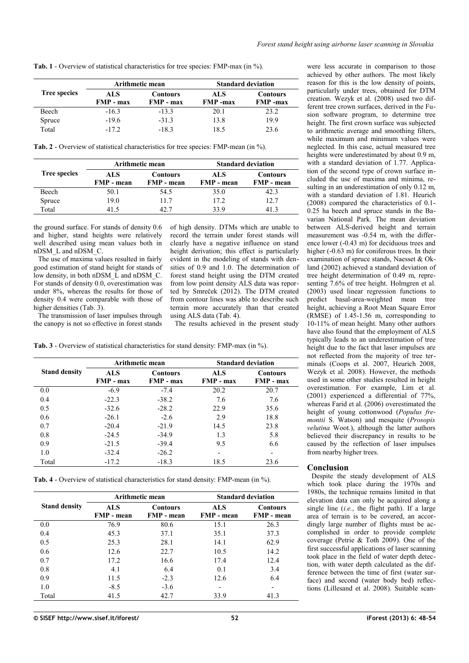<span id="page-4-2"></span>**Tab. 1** - Overview of statistical characteristics for tree species: FMP-max (in %).

| <b>Tree species</b> | Arithmetic mean     |                                     | <b>Standard deviation</b> |                                    |
|---------------------|---------------------|-------------------------------------|---------------------------|------------------------------------|
|                     | ALS.<br>$FMP - max$ | <b>Contours</b><br><b>FMP</b> - max | ALS.<br><b>FMP</b> -max   | <b>Contours</b><br><b>FMP</b> -max |
| Beech               | $-16.3$             | $-133$                              | 20.1                      | 23.2                               |
| Spruce              | $-19.6$             | $-31.3$                             | 13.8                      | 19.9                               |
| Total               | $-17.2$             | $-183$                              | 18.5                      | 23.6                               |

<span id="page-4-1"></span>**Tab. 2** - Overview of statistical characteristics for tree species: FMP-mean (in %).

|                     | <b>Arithmetic mean</b>   |                                      | <b>Standard deviation</b> |                                      |
|---------------------|--------------------------|--------------------------------------|---------------------------|--------------------------------------|
| <b>Tree species</b> | ALS<br><b>FMP</b> - mean | <b>Contours</b><br><b>FMP</b> - mean | ALS.<br><b>FMP</b> - mean | <b>Contours</b><br><b>FMP</b> - mean |
| Beech               | 50.1                     | 54.5                                 | 35.0                      | 42.3                                 |
| Spruce              | 19.0                     | 117                                  | 17.2                      | 12.7                                 |
| Total               | 415                      | 42.7                                 | 33.9                      | 41 3                                 |

the ground surface. For stands of density 0.6 and higher, stand heights were relatively well described using mean values both in nDSM\_L and nDSM\_C.

The use of maxima values resulted in fairly good estimation of stand height for stands of low density, in both nDSM\_L and nDSM\_C. For stands of density 0.0, overestimation was under 8%, whereas the results for those of density 0.4 were comparable with those of higher densities [\(Tab. 3\)](#page-4-3).

The transmission of laser impulses through the canopy is not so effective in forest stands of high density. DTMs which are unable to record the terrain under forest stands will clearly have a negative influence on stand height derivation; this effect is particularly evident in the modeling of stands with densities of 0.9 and 1.0. The determination of forest stand height using the DTM created from low point density ALS data was reported by Smreček (2012). The DTM created from contour lines was able to describe such terrain more accurately than that created using ALS data [\(Tab. 4\)](#page-4-0).

The results achieved in the present study

<span id="page-4-3"></span>**Tab. 3** - Overview of statistical characteristics for stand density: FMP-max (in %).

| <b>Stand density</b> | <b>Arithmetic mean</b>    |                              | <b>Standard deviation</b>      |                                |
|----------------------|---------------------------|------------------------------|--------------------------------|--------------------------------|
|                      | <b>ALS</b><br>$FMP - max$ | <b>Contours</b><br>FMP - max | <b>ALS</b><br><b>FMP</b> - max | <b>Contours</b><br>$FMP - max$ |
| 0.0                  | $-6.9$                    | $-7.4$                       | 20.2                           | 20.7                           |
| 0.4                  | $-22.3$                   | $-38.2$                      | 7.6                            | 7.6                            |
| 0.5                  | $-32.6$                   | $-28.2$                      | 22.9                           | 35.6                           |
| 0.6                  | $-26.1$                   | $-2.6$                       | 2.9                            | 18.8                           |
| 0.7                  | $-20.4$                   | $-21.9$                      | 14.5                           | 23.8                           |
| 0.8                  | $-24.5$                   | $-34.9$                      | 1.3                            | 5.8                            |
| 0.9                  | $-21.5$                   | $-39.4$                      | 9.5                            | 6.6                            |
| 1.0                  | $-32.4$                   | $-26.2$                      |                                |                                |
| Total                | $-17.2$                   | $-18.3$                      | 18.5                           | 23.6                           |

<span id="page-4-0"></span>**Tab. 4** - Overview of statistical characteristics for stand density: FMP-mean (in %).

| <b>Stand density</b> | Arithmetic mean                 |                                      | <b>Standard deviation</b>       |                                      |
|----------------------|---------------------------------|--------------------------------------|---------------------------------|--------------------------------------|
|                      | <b>ALS</b><br><b>FMP</b> - mean | <b>Contours</b><br><b>FMP</b> - mean | <b>ALS</b><br><b>FMP</b> - mean | <b>Contours</b><br><b>FMP</b> - mean |
| 0.0                  | 76.9                            | 80.6                                 | 15.1                            | 26.3                                 |
| 0.4                  | 45.3                            | 37.1                                 | 35.1                            | 37.3                                 |
| 0.5                  | 25.3                            | 28.1                                 | 14.1                            | 62.9                                 |
| 0.6                  | 12.6                            | 22.7                                 | 10.5                            | 14.2                                 |
| 0.7                  | 17.2                            | 16.6                                 | 17.4                            | 12.4                                 |
| 0.8                  | 4.1                             | 6.4                                  | 0.1                             | 3.4                                  |
| 0.9                  | 11.5                            | $-2.3$                               | 12.6                            | 6.4                                  |
| 1.0                  | $-8.5$                          | $-3.6$                               |                                 |                                      |
| Total                | 41.5                            | 42.7                                 | 33.9                            | 41.3                                 |

were less accurate in comparison to those achieved by other authors. The most likely reason for this is the low density of points, particularly under trees, obtained for DTM creation. Wezyk et al. (2008) used two different tree crown surfaces, derived in the Fusion software program, to determine tree height. The first crown surface was subjected to arithmetic average and smoothing filters, while maximum and minimum values were neglected. In this case, actual measured tree heights were underestimated by about 0.9 m, with a standard deviation of 1.77. Application of the second type of crown surface included the use of maxima and minima, resulting in an underestimation of only 0.12 m, with a standard deviation of 1.81. Heurich (2008) compared the characteristics of 0.1- 0.25 ha beech and spruce stands in the Bavarian National Park. The mean deviation between ALS-derived height and terrain measurement was -0.54 m, with the difference lower (-0.43 m) for deciduous trees and higher (-0.63 m) for coniferous trees. In their examination of spruce stands, Naesset & Okland (2002) achieved a standard deviation of tree height determination of 0.49 m, representing 7.6% of tree height. Holmgren et al. (2003) used linear regression functions to predict basal-area-weighted mean tree height, achieving a Root Mean Square Error (RMSE) of 1.45-1.56 m, corresponding to 10-11% of mean height. Many other authors have also found that the employment of ALS typically leads to an underestimation of tree height due to the fact that laser impulses are not reflected from the majority of tree terminals (Coops et al. 2007, Heurich 2008, Wezyk et al. 2008). However, the methods used in some other studies resulted in height overestimation. For example, Lim et al. (2001) experienced a differential of 77%, whereas Farid et al. (2006) overestimated the height of young cottonwood (*Populus fremontii* S. Watson) and mesquite (*Prosopis velutina* Woot.), although the latter authors believed their discrepancy in results to be

# **Conclusion**

from nearby higher trees.

Despite the steady development of ALS which took place during the 1970s and 1980s, the technique remains limited in that elevation data can only be acquired along a single line (*i.e.*, the flight path). If a large area of terrain is to be covered, an accordingly large number of flights must be accomplished in order to provide complete coverage (Petrie & Toth 2009). One of the first successful applications of laser scanning took place in the field of water depth detection, with water depth calculated as the difference between the time of first (water surface) and second (water body bed) reflections (Lillesand et al. 2008). Suitable scan-

caused by the reflection of laser impulses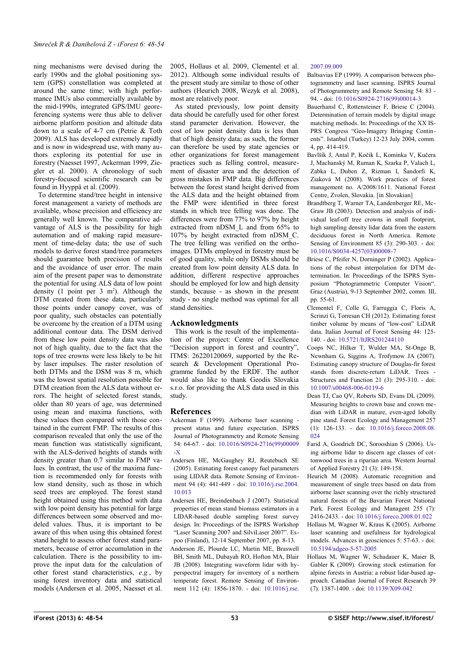ning mechanisms were devised during the early 1990s and the global positioning system (GPS) constellation was completed at around the same time; with high performance IMUs also commercially available by the mid-1990s, integrated GPS/IMU georeferencing systems were thus able to deliver airborne platform position and altitude data down to a scale of 4-7 cm (Petrie & Toth 2009). ALS has developed extremely rapidly and is now in widespread use, with many authors exploring its potential for use in forestry (Naesset 1997, Ackerman 1999, Ziegler et al. 2000). A chronology of such forestry-focused scientific research can be found in Hyyppä et al. (2009).

To determine stand/tree height in intensive forest management a variety of methods are available, whose precision and efficiency are generally well known. The comparative advantage of ALS is the possibility for high automation and of making rapid measurement of time-delay data; the use of such models to derive forest stand/tree parameters should guarantee both precision of results and the avoidance of user error. The main aim of the present paper was to demonstrate the potential for using ALS data of low point density  $(1 \text{ point per } 3 \text{ m}^2)$ . Although the DTM created from these data, particularly those points under canopy cover, was of poor quality, such obstacles can potentially be overcome by the creation of a DTM using additional contour data. The DSM derived from these low point density data was also not of high quality, due to the fact that the tops of tree crowns were less likely to be hit by laser impulses. The raster resolution of both DTMs and the DSM was 8 m, which was the lowest spatial resolution possible for DTM creation from the ALS data without errors. The height of selected forest stands, older than 80 years of age, was determined using mean and maxima functions, with these values then compared with those contained in the current FMP. The results of this comparison revealed that only the use of the mean function was statistically significant, with the ALS-derived heights of stands with density greater than 0.7 similar to FMP values. In contrast, the use of the maxima function is recommended only for forests with low stand density, such as those in which seed trees are employed. The forest stand height obtained using this method with data with low point density has potential for large differences between some observed and modeled values. Thus, it is important to be aware of this when using this obtained forest stand height to assess other forest stand parameters, because of error accumulation in the calculation. There is the possibility to improve the input data for the calculation of other forest stand characteristics, *e.g.*, by using forest inventory data and statistical models (Andersen et al. 2005, Naesset et al. 2005, Hollaus et al. 2009, Clementel et al. 2012). Although some individual results of the present study are similar to those of other authors (Heurich 2008, Wezyk et al. 2008), most are relatively poor.

As stated previously, low point density data should be carefully used for other forest stand parameter derivation. However, the cost of low point density data is less than that of high density data; as such, the former can therefore be used by state agencies or other organizations for forest management practices such as felling control, measurement of disaster area and the detection of gross mistakes in FMP data. Big differences between the forest stand height derived from the ALS data and the height obtained from the FMP were identified in three forest stands in which tree felling was done. The differences were from 77% to 97% by height extracted from nDSM\_L and from 65% to 107% by height extracted from nDSM\_C. The tree felling was verified on the orthoimages. DTMs employed in forestry must be of good quality, while only DSMs should be created from low point density ALS data. In addition, different respective approaches should be employed for low and high density stands, because - as shown in the present study - no single method was optimal for all stand densities.

#### **Acknowledgments**

This work is the result of the implementation of the project: Centre of Excellence "Decision support in forest and country", ITMS: 26220120069, supported by the Research & Development Operational Programme funded by the ERDF. The author would also like to thank Geodis Slovakia s.r.o. for providing the ALS data used in this study.

#### **References**

- Ackerman F (1999). Airborne laser scanning present status and future expectation. ISPRS Journal of Photogrammetry and Remote Sensing 54: 64-67. - doi: [10.1016/S0924-2716\(99\)00009](http://dx.doi.org/10.1016/S0924-2716(99)00009-X) [-X](http://dx.doi.org/10.1016/S0924-2716(99)00009-X)
- Andersen HE, McGaughey RJ, Reutebuch SE (2005). Estimating forest canopy fuel parameters using LIDAR data. Remote Sensing of Environment 94 (4): 441-449 - doi: [10.1016/j.rse.2004.](http://dx.doi.org/10.1016/j.rse.2004.10.013) [10.013](http://dx.doi.org/10.1016/j.rse.2004.10.013)
- Andersen HE, Breindenbach J (2007). Statistical properties of mean stand biomass estimators in a LIDAR-based double sampling forest survey design. In: Proceedings of the ISPRS Workshop "Laser Scanning 2007 and SilviLaser 2007". Espoo (Finland), 12-14 September 2007, pp. 8-13.
- Anderson JE, Plourde LC, Martin ME, Braswell BH, Smith ML, Dubayah RO, Hofton MA, Blair JB (2008). Integrating waveform lidar with hyperspectral imagery for inventory of a northern temperate forest. Remote Sensing of Environment 112 (4): 1856-1870. - doi: [10.1016/j.rse.](http://dx.doi.org/10.1016/j.rse.2007.09.009)

#### [2007.09.009](http://dx.doi.org/10.1016/j.rse.2007.09.009)

- Baltsavias EP (1999). A comparison between photogrammetry and laser scanning. ISPRS Journal of Photogrammetry and Remote Sensing 54: 83 - 94. - doi: [10.1016/S0924-2716\(99\)00014-3](http://dx.doi.org/10.1016/S0924-2716(99)00014-3)
- Bauerhansl C, Rottensteiner F, Briese C (2004). Determination of terrain models by digital image matching methods. In: Proceedings of the XX IS-PRS Congress "Geo-Imagery Bringing Continents". Istanbul (Turkey) 12-23 July 2004, comm. 4, pp. 414-419.
- Bavlšík J, Antal P, Kočik L, Kominka V, Kučera J, Machanský M, Ruman K, Szarka P, Valach L, Zabka L, Duben Z, Rizman I, Šandorfi K, Ziaková M (2008). Work practices of forest management no. A/2008/1611. National Forest Centre, Zvolen, Slovakia. [in Slovakian]
- Brandtberg T, Warner TA, Landenberger RE, Mc-Graw JB (2003). Detection and analysis of individual leaf-off tree crowns in small footprint, high sampling density lidar data from the eastern deciduous forest in North America. Remote Sensing of Environment 85 (3): 290-303. - doi: [10.1016/S0034-4257\(03\)00008-7](http://dx.doi.org/10.1016/S0034-4257(03)00008-7)
- Briese C, Pfeifer N, Dorninger P (2002). Applications of the robust interpolation for DTM determination. In: Proceedings of the ISPRS Symposium "Photogrammetric Computer Vision". Graz (Austria), 9-13 September 2002, comm. III, pp. 55-61.
- Clementel F, Colle G, Farruggia C, Floris A, Scrinzi G, Torresan CH (2012). Estimating forest timber volume by means of "low-cost" LiDAR data. Italian Journal of Forest Sensing 44: 125- 140. - doi: [10.5721/ItJRS201244110](http://dx.doi.org/10.5721/ItJRS201244110)
- Coops NC, Hilker T, Wulder MA, St-Onge B, Newnham G, Siggins A, Trofymow JA (2007). Estimating canopy structure of Douglas-fir forest stands from discrete-return LiDAR. Trees - Structures and Function 21 (3): 295-310. - doi: [10.1007/s00468-006-0119-6](http://dx.doi.org/10.1007/s00468-006-0119-6)
- Dean TJ, Cao QV, Roberts SD, Evans DL (2009). Measuring heights to crown base and crown median with LiDAR in mature, even-aged lobolly pine stand. Forest Ecology and Management 257 (1): 126-133. - doi: [10.1016/j.foreco.2008.08.](http://dx.doi.org/10.1016/j.foreco.2008.08.024)  $024$
- Farid A, Goodrich DC, Sorooshian S (2006). Using airborne lidar to discern age classes of cottonwood trees in a riparian area. Western Journal of Applied Forestry 21 (3): 149-158.
- Heurich M (2008). Automatic recognition and measurement of single trees based on data from airborne laser scanning over the richly structured natural forests of the Bavarian Forest National Park. Forest Ecology and Managent 255 (7): 2416-2433. - doi: [10.1016/j.foreco.2008.01.022](http://dx.doi.org/10.1016/j.foreco.2008.01.022)
- Hollaus M, Wagner W, Kraus K (2005). Airborne laser scanning and usefulness for hydrological models. Advances in geosciences 5: 57-63. - doi: [10.5194/adgeo-5-57-2005](http://dx.doi.org/10.5194/adgeo-5-57-2005)
- Hollaus M, Wagner W, Schadauer K, Maier B, Gabler K (2009). Growing stock estimation for alpine forests in Austria: a robust lidar-based approach. Canadian Journal of Forest Research 39 (7): 1387-1400. - doi: [10.1139/X09-042](http://dx.doi.org/10.1139/X09-042)